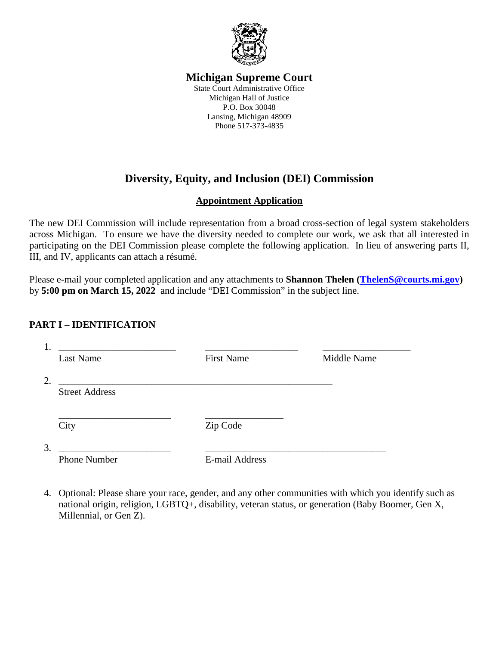

# **Michigan Supreme Court**

State Court Administrative Office Michigan Hall of Justice P.O. Box 30048 Lansing, Michigan 48909 Phone 517-373-4835

# **Diversity, Equity, and Inclusion (DEI) Commission**

## **Appointment Application**

The new DEI Commission will include representation from a broad cross-section of legal system stakeholders across Michigan. To ensure we have the diversity needed to complete our work, we ask that all interested in participating on the DEI Commission please complete the following application. In lieu of answering parts II, III, and IV, applicants can attach a résumé.

Please e-mail your completed application and any attachments to **Shannon Thelen [\(ThelenS@courts.mi.gov\)](mailto:ThelenS@courts.mi.gov)** by **5:00 pm on March 15, 2022** and include "DEI Commission" in the subject line.

### **PART I – IDENTIFICATION**

| Ī.<br>Last Name             | <b>First Name</b>     | Middle Name |
|-----------------------------|-----------------------|-------------|
| 2.<br><b>Street Address</b> |                       |             |
|                             |                       |             |
| City                        | Zip Code              |             |
| 3.                          |                       |             |
| <b>Phone Number</b>         | <b>E-mail Address</b> |             |

4. Optional: Please share your race, gender, and any other communities with which you identify such as national origin, religion, LGBTQ+, disability, veteran status, or generation (Baby Boomer, Gen X, Millennial, or Gen Z).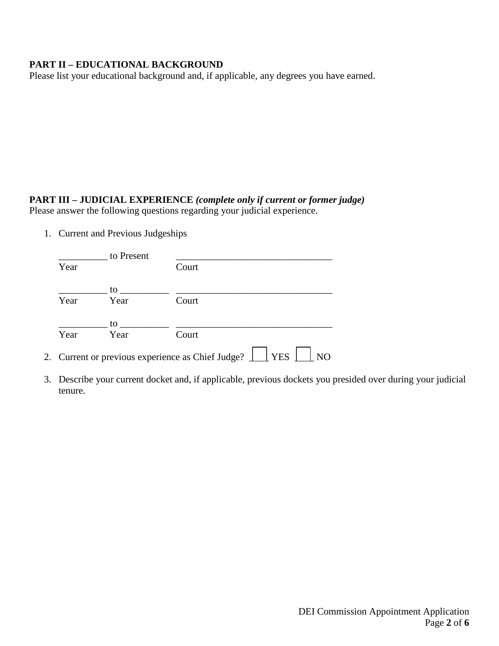#### **PART II – EDUCATIONAL BACKGROUND**

Please list your educational background and, if applicable, any degrees you have earned.

## **PART III – JUDICIAL EXPERIENCE** *(complete only if current or former judge)*

Please answer the following questions regarding your judicial experience.

1. Current and Previous Judgeships

| Court                                                               |
|---------------------------------------------------------------------|
|                                                                     |
| Court                                                               |
| 2. Current or previous experience as Chief Judge? $\Box$ YES $\Box$ |

3. Describe your current docket and, if applicable, previous dockets you presided over during your judicial tenure.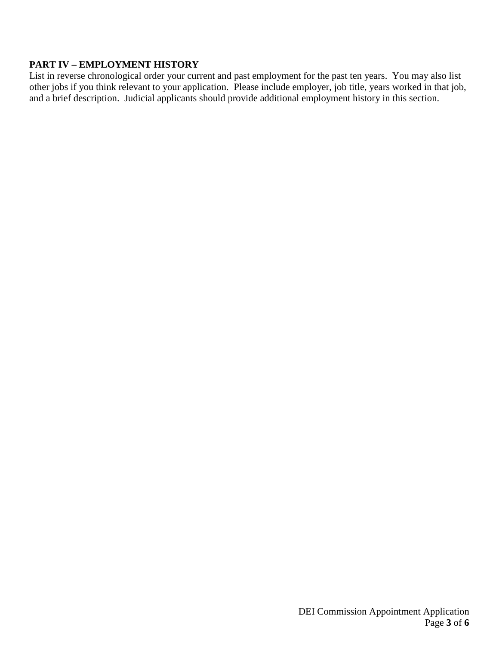#### **PART IV – EMPLOYMENT HISTORY**

List in reverse chronological order your current and past employment for the past ten years. You may also list other jobs if you think relevant to your application. Please include employer, job title, years worked in that job, and a brief description. Judicial applicants should provide additional employment history in this section.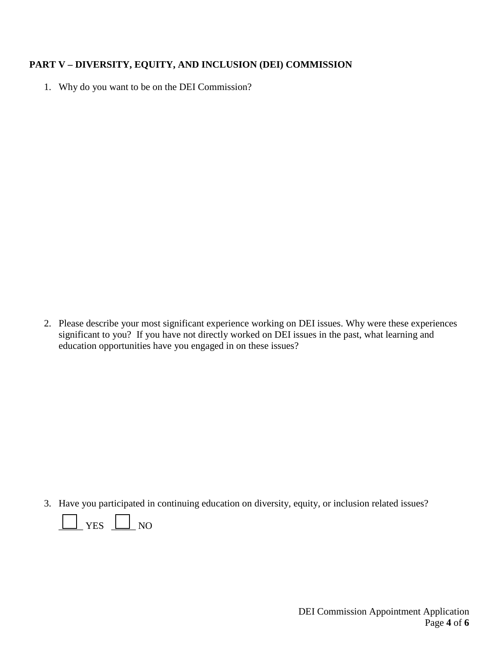#### **PART V – DIVERSITY, EQUITY, AND INCLUSION (DEI) COMMISSION**

1. Why do you want to be on the DEI Commission?

2. Please describe your most significant experience working on DEI issues. Why were these experiences significant to you? If you have not directly worked on DEI issues in the past, what learning and education opportunities have you engaged in on these issues?

3. Have you participated in continuing education on diversity, equity, or inclusion related issues?

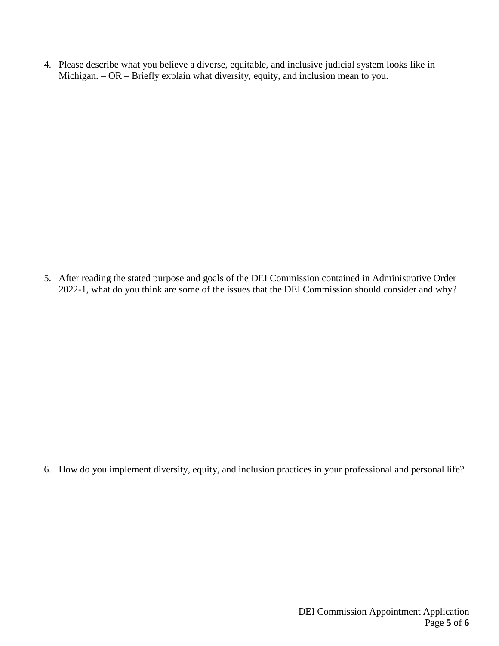4. Please describe what you believe a diverse, equitable, and inclusive judicial system looks like in Michigan. – OR – Briefly explain what diversity, equity, and inclusion mean to you.

5. After reading the stated purpose and goals of the DEI Commission contained in Administrative Order 2022-1, what do you think are some of the issues that the DEI Commission should consider and why?

6. How do you implement diversity, equity, and inclusion practices in your professional and personal life?